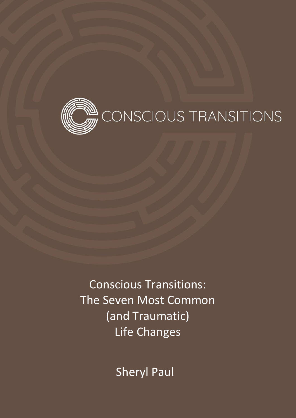

Conscious Transitions: The Seven Most Common (and Traumatic) Life Changes

Sheryl Paul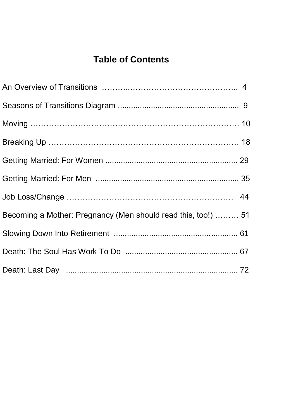### **Table of Contents**

| Becoming a Mother: Pregnancy (Men should read this, too!)  51 |  |
|---------------------------------------------------------------|--|
|                                                               |  |
|                                                               |  |
|                                                               |  |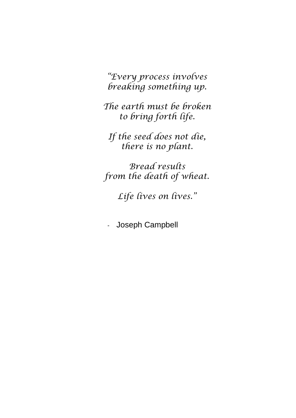*"Every process involves breaking something up.*

*The earth must be broken to bring forth life.*

*If the seed does not die, there is no plant.*

*Bread results from the death of wheat.*

*Life lives on lives."*

- Joseph Campbell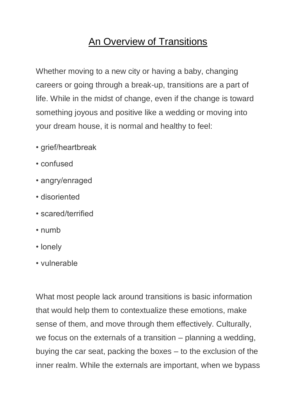## An Overview of Transitions

Whether moving to a new city or having a baby, changing careers or going through a break-up, transitions are a part of life. While in the midst of change, even if the change is toward something joyous and positive like a wedding or moving into your dream house, it is normal and healthy to feel:

- grief/heartbreak
- confused
- angry/enraged
- disoriented
- scared/terrified
- numb
- lonely
- vulnerable

What most people lack around transitions is basic information that would help them to contextualize these emotions, make sense of them, and move through them effectively. Culturally, we focus on the externals of a transition – planning a wedding, buying the car seat, packing the boxes – to the exclusion of the inner realm. While the externals are important, when we bypass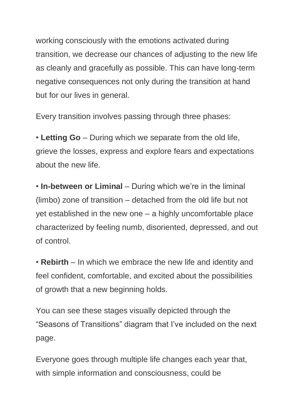working consciously with the emotions activated during transition, we decrease our chances of adjusting to the new life as cleanly and gracefully as possible. This can have long-term negative consequences not only during the transition at hand but for our lives in general.

Every transition involves passing through three phases:

• **Letting Go** – During which we separate from the old life, grieve the losses, express and explore fears and expectations about the new life.

• **In-between or Liminal** – During which we're in the liminal (limbo) zone of transition – detached from the old life but not yet established in the new one – a highly uncomfortable place characterized by feeling numb, disoriented, depressed, and out of control.

• **Rebirth** – In which we embrace the new life and identity and feel confident, comfortable, and excited about the possibilities of growth that a new beginning holds.

You can see these stages visually depicted through the "Seasons of Transitions" diagram that I've included on the next page.

Everyone goes through multiple life changes each year that, with simple information and consciousness, could be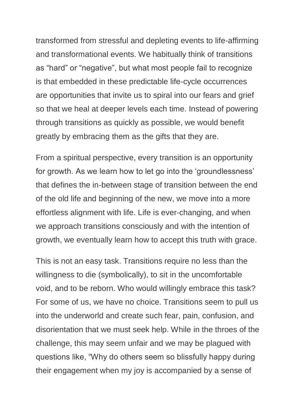transformed from stressful and depleting events to life-affirming and transformational events. We habitually think of transitions as "hard" or "negative", but what most people fail to recognize is that embedded in these predictable life-cycle occurrences are opportunities that invite us to spiral into our fears and grief so that we heal at deeper levels each time. Instead of powering through transitions as quickly as possible, we would benefit greatly by embracing them as the gifts that they are.

From a spiritual perspective, every transition is an opportunity for growth. As we learn how to let go into the 'groundlessness' that defines the in-between stage of transition between the end of the old life and beginning of the new, we move into a more effortless alignment with life. Life is ever-changing, and when we approach transitions consciously and with the intention of growth, we eventually learn how to accept this truth with grace.

This is not an easy task. Transitions require no less than the willingness to die (symbolically), to sit in the uncomfortable void, and to be reborn. Who would willingly embrace this task? For some of us, we have no choice. Transitions seem to pull us into the underworld and create such fear, pain, confusion, and disorientation that we must seek help. While in the throes of the challenge, this may seem unfair and we may be plagued with questions like, "Why do others seem so blissfully happy during their engagement when my joy is accompanied by a sense of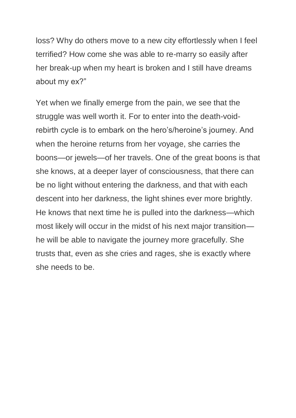loss? Why do others move to a new city effortlessly when I feel terrified? How come she was able to re-marry so easily after her break-up when my heart is broken and I still have dreams about my ex?"

Yet when we finally emerge from the pain, we see that the struggle was well worth it. For to enter into the death-voidrebirth cycle is to embark on the hero's/heroine's journey. And when the heroine returns from her voyage, she carries the boons—or jewels—of her travels. One of the great boons is that she knows, at a deeper layer of consciousness, that there can be no light without entering the darkness, and that with each descent into her darkness, the light shines ever more brightly. He knows that next time he is pulled into the darkness—which most likely will occur in the midst of his next major transition he will be able to navigate the journey more gracefully. She trusts that, even as she cries and rages, she is exactly where she needs to be.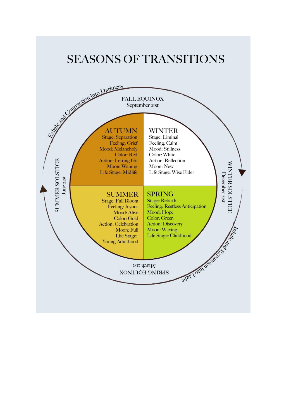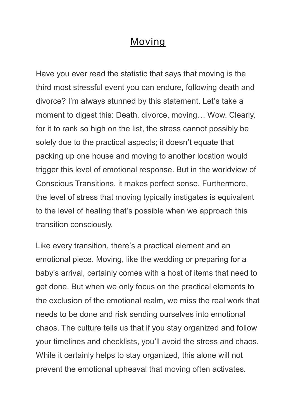### Moving

Have you ever read the statistic that says that moving is the third most stressful event you can endure, following death and divorce? I'm always stunned by this statement. Let's take a moment to digest this: Death, divorce, moving… Wow. Clearly, for it to rank so high on the list, the stress cannot possibly be solely due to the practical aspects; it doesn't equate that packing up one house and moving to another location would trigger this level of emotional response. But in the worldview of Conscious Transitions, it makes perfect sense. Furthermore, the level of stress that moving typically instigates is equivalent to the level of healing that's possible when we approach this transition consciously.

Like every transition, there's a practical element and an emotional piece. Moving, like the wedding or preparing for a baby's arrival, certainly comes with a host of items that need to get done. But when we only focus on the practical elements to the exclusion of the emotional realm, we miss the real work that needs to be done and risk sending ourselves into emotional chaos. The culture tells us that if you stay organized and follow your timelines and checklists, you'll avoid the stress and chaos. While it certainly helps to stay organized, this alone will not prevent the emotional upheaval that moving often activates.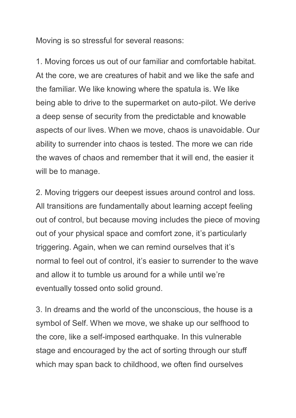Moving is so stressful for several reasons:

1. Moving forces us out of our familiar and comfortable habitat. At the core, we are creatures of habit and we like the safe and the familiar. We like knowing where the spatula is. We like being able to drive to the supermarket on auto-pilot. We derive a deep sense of security from the predictable and knowable aspects of our lives. When we move, chaos is unavoidable. Our ability to surrender into chaos is tested. The more we can ride the waves of chaos and remember that it will end, the easier it will be to manage.

2. Moving triggers our deepest issues around control and loss. All transitions are fundamentally about learning accept feeling out of control, but because moving includes the piece of moving out of your physical space and comfort zone, it's particularly triggering. Again, when we can remind ourselves that it's normal to feel out of control, it's easier to surrender to the wave and allow it to tumble us around for a while until we're eventually tossed onto solid ground.

3. In dreams and the world of the unconscious, the house is a symbol of Self. When we move, we shake up our selfhood to the core, like a self-imposed earthquake. In this vulnerable stage and encouraged by the act of sorting through our stuff which may span back to childhood, we often find ourselves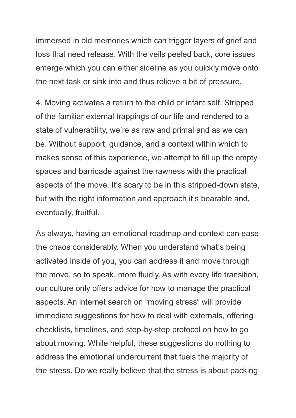immersed in old memories which can trigger layers of grief and loss that need release. With the veils peeled back, core issues emerge which you can either sideline as you quickly move onto the next task or sink into and thus relieve a bit of pressure.

4. Moving activates a return to the child or infant self. Stripped of the familiar external trappings of our life and rendered to a state of vulnerability, we're as raw and primal and as we can be. Without support, guidance, and a context within which to makes sense of this experience, we attempt to fill up the empty spaces and barricade against the rawness with the practical aspects of the move. It's scary to be in this stripped-down state, but with the right information and approach it's bearable and, eventually, fruitful.

As always, having an emotional roadmap and context can ease the chaos considerably. When you understand what's being activated inside of you, you can address it and move through the move, so to speak, more fluidly. As with every life transition, our culture only offers advice for how to manage the practical aspects. An internet search on "moving stress" will provide immediate suggestions for how to deal with externals, offering checklists, timelines, and step-by-step protocol on how to go about moving. While helpful, these suggestions do nothing to address the emotional undercurrent that fuels the majority of the stress. Do we really believe that the stress is about packing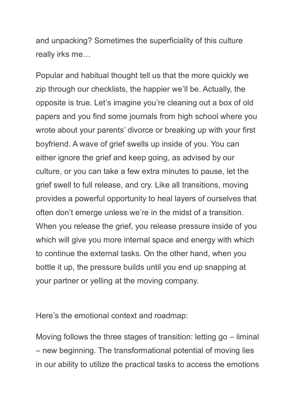and unpacking? Sometimes the superficiality of this culture really irks me…

Popular and habitual thought tell us that the more quickly we zip through our checklists, the happier we'll be. Actually, the opposite is true. Let's imagine you're cleaning out a box of old papers and you find some journals from high school where you wrote about your parents' divorce or breaking up with your first boyfriend. A wave of grief swells up inside of you. You can either ignore the grief and keep going, as advised by our culture, or you can take a few extra minutes to pause, let the grief swell to full release, and cry. Like all transitions, moving provides a powerful opportunity to heal layers of ourselves that often don't emerge unless we're in the midst of a transition. When you release the grief, you release pressure inside of you which will give you more internal space and energy with which to continue the external tasks. On the other hand, when you bottle it up, the pressure builds until you end up snapping at your partner or yelling at the moving company.

Here's the emotional context and roadmap:

Moving follows the three stages of transition: letting go – liminal – new beginning. The transformational potential of moving lies in our ability to utilize the practical tasks to access the emotions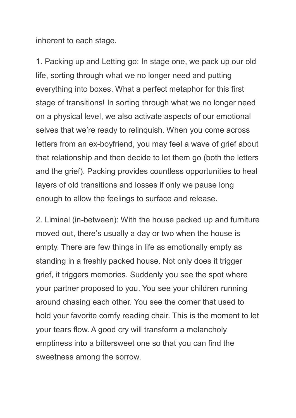inherent to each stage.

1. Packing up and Letting go: In stage one, we pack up our old life, sorting through what we no longer need and putting everything into boxes. What a perfect metaphor for this first stage of transitions! In sorting through what we no longer need on a physical level, we also activate aspects of our emotional selves that we're ready to relinquish. When you come across letters from an ex-boyfriend, you may feel a wave of grief about that relationship and then decide to let them go (both the letters and the grief). Packing provides countless opportunities to heal layers of old transitions and losses if only we pause long enough to allow the feelings to surface and release.

2. Liminal (in-between): With the house packed up and furniture moved out, there's usually a day or two when the house is empty. There are few things in life as emotionally empty as standing in a freshly packed house. Not only does it trigger grief, it triggers memories. Suddenly you see the spot where your partner proposed to you. You see your children running around chasing each other. You see the corner that used to hold your favorite comfy reading chair. This is the moment to let your tears flow. A good cry will transform a melancholy emptiness into a bittersweet one so that you can find the sweetness among the sorrow.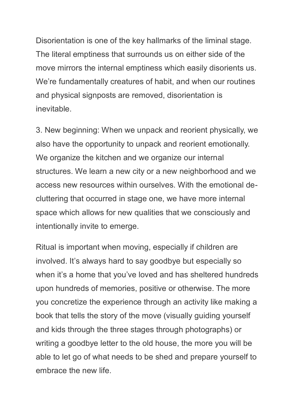Disorientation is one of the key hallmarks of the liminal stage. The literal emptiness that surrounds us on either side of the move mirrors the internal emptiness which easily disorients us. We're fundamentally creatures of habit, and when our routines and physical signposts are removed, disorientation is inevitable.

3. New beginning: When we unpack and reorient physically, we also have the opportunity to unpack and reorient emotionally. We organize the kitchen and we organize our internal structures. We learn a new city or a new neighborhood and we access new resources within ourselves. With the emotional decluttering that occurred in stage one, we have more internal space which allows for new qualities that we consciously and intentionally invite to emerge.

Ritual is important when moving, especially if children are involved. It's always hard to say goodbye but especially so when it's a home that you've loved and has sheltered hundreds upon hundreds of memories, positive or otherwise. The more you concretize the experience through an activity like making a book that tells the story of the move (visually guiding yourself and kids through the three stages through photographs) or writing a goodbye letter to the old house, the more you will be able to let go of what needs to be shed and prepare yourself to embrace the new life.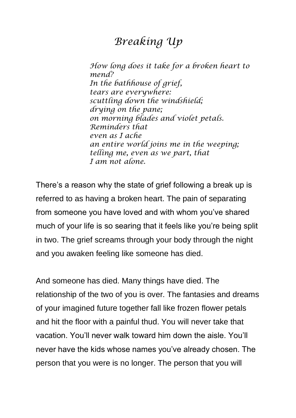## *Breaking Up*

*How long does it take for a broken heart to mend? In the bathhouse of grief, tears are everywhere: scuttling down the windshield; drying on the pane; on morning blades and violet petals. Reminders that even as I ache an entire world joins me in the weeping; telling me, even as we part, that I am not alone.*

There's a reason why the state of grief following a break up is referred to as having a broken heart. The pain of separating from someone you have loved and with whom you've shared much of your life is so searing that it feels like you're being split in two. The grief screams through your body through the night and you awaken feeling like someone has died.

And someone has died. Many things have died. The relationship of the two of you is over. The fantasies and dreams of your imagined future together fall like frozen flower petals and hit the floor with a painful thud. You will never take that vacation. You'll never walk toward him down the aisle. You'll never have the kids whose names you've already chosen. The person that you were is no longer. The person that you will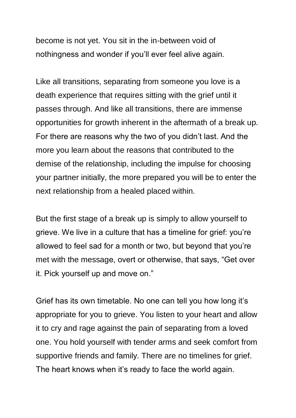become is not yet. You sit in the in-between void of nothingness and wonder if you'll ever feel alive again.

Like all transitions, separating from someone you love is a death experience that requires sitting with the grief until it passes through. And like all transitions, there are immense opportunities for growth inherent in the aftermath of a break up. For there are reasons why the two of you didn't last. And the more you learn about the reasons that contributed to the demise of the relationship, including the impulse for choosing your partner initially, the more prepared you will be to enter the next relationship from a healed placed within.

But the first stage of a break up is simply to allow yourself to grieve. We live in a culture that has a timeline for grief: you're allowed to feel sad for a month or two, but beyond that you're met with the message, overt or otherwise, that says, "Get over it. Pick yourself up and move on."

Grief has its own timetable. No one can tell you how long it's appropriate for you to grieve. You listen to your heart and allow it to cry and rage against the pain of separating from a loved one. You hold yourself with tender arms and seek comfort from supportive friends and family. There are no timelines for grief. The heart knows when it's ready to face the world again.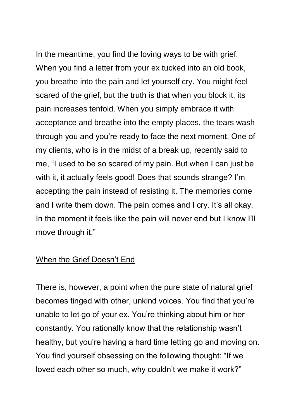In the meantime, you find the loving ways to be with grief. When you find a letter from your ex tucked into an old book, you breathe into the pain and let yourself cry. You might feel scared of the grief, but the truth is that when you block it, its pain increases tenfold. When you simply embrace it with acceptance and breathe into the empty places, the tears wash through you and you're ready to face the next moment. One of my clients, who is in the midst of a break up, recently said to me, "I used to be so scared of my pain. But when I can just be with it, it actually feels good! Does that sounds strange? I'm accepting the pain instead of resisting it. The memories come and I write them down. The pain comes and I cry. It's all okay. In the moment it feels like the pain will never end but I know I'll move through it."

#### When the Grief Doesn't End

There is, however, a point when the pure state of natural grief becomes tinged with other, unkind voices. You find that you're unable to let go of your ex. You're thinking about him or her constantly. You rationally know that the relationship wasn't healthy, but you're having a hard time letting go and moving on. You find yourself obsessing on the following thought: "If we loved each other so much, why couldn't we make it work?"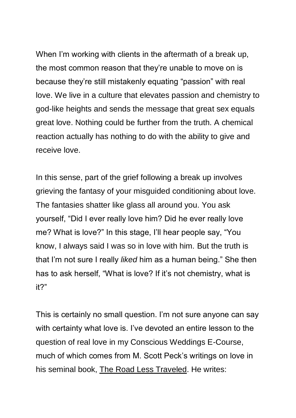When I'm working with clients in the aftermath of a break up, the most common reason that they're unable to move on is because they're still mistakenly equating "passion" with real love. We live in a culture that elevates passion and chemistry to god-like heights and sends the message that great sex equals great love. Nothing could be further from the truth. A chemical reaction actually has nothing to do with the ability to give and receive love.

In this sense, part of the grief following a break up involves grieving the fantasy of your misguided conditioning about love. The fantasies shatter like glass all around you. You ask yourself, "Did I ever really love him? Did he ever really love me? What is love?" In this stage, I'll hear people say, "You know, I always said I was so in love with him. But the truth is that I'm not sure I really *liked* him as a human being." She then has to ask herself, "What is love? If it's not chemistry, what is it?"

This is certainly no small question. I'm not sure anyone can say with certainty what love is. I've devoted an entire lesson to the question of real love in my Conscious Weddings E-Course, much of which comes from M. Scott Peck's writings on love in his seminal book, The Road Less Traveled. He writes: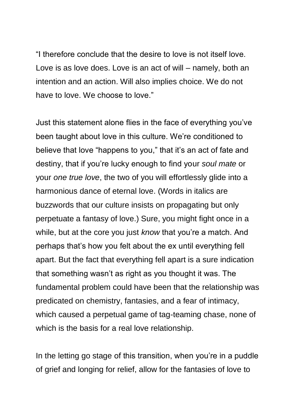"I therefore conclude that the desire to love is not itself love. Love is as love does. Love is an act of will – namely, both an intention and an action. Will also implies choice. We do not have to love. We choose to love."

Just this statement alone flies in the face of everything you've been taught about love in this culture. We're conditioned to believe that love "happens to you," that it's an act of fate and destiny, that if you're lucky enough to find your *soul mate* or your *one true love*, the two of you will effortlessly glide into a harmonious dance of eternal love. (Words in italics are buzzwords that our culture insists on propagating but only perpetuate a fantasy of love.) Sure, you might fight once in a while, but at the core you just *know* that you're a match. And perhaps that's how you felt about the ex until everything fell apart. But the fact that everything fell apart is a sure indication that something wasn't as right as you thought it was. The fundamental problem could have been that the relationship was predicated on chemistry, fantasies, and a fear of intimacy, which caused a perpetual game of tag-teaming chase, none of which is the basis for a real love relationship.

In the letting go stage of this transition, when you're in a puddle of grief and longing for relief, allow for the fantasies of love to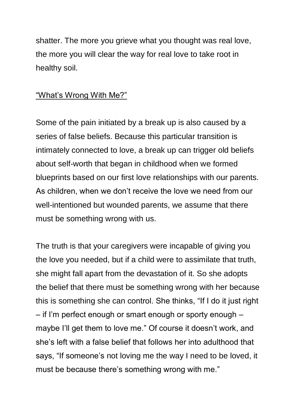shatter. The more you grieve what you thought was real love, the more you will clear the way for real love to take root in healthy soil.

### "What's Wrong With Me?"

Some of the pain initiated by a break up is also caused by a series of false beliefs. Because this particular transition is intimately connected to love, a break up can trigger old beliefs about self-worth that began in childhood when we formed blueprints based on our first love relationships with our parents. As children, when we don't receive the love we need from our well-intentioned but wounded parents, we assume that there must be something wrong with us.

The truth is that your caregivers were incapable of giving you the love you needed, but if a child were to assimilate that truth, she might fall apart from the devastation of it. So she adopts the belief that there must be something wrong with her because this is something she can control. She thinks, "If I do it just right – if I'm perfect enough or smart enough or sporty enough – maybe I'll get them to love me." Of course it doesn't work, and she's left with a false belief that follows her into adulthood that says, "If someone's not loving me the way I need to be loved, it must be because there's something wrong with me."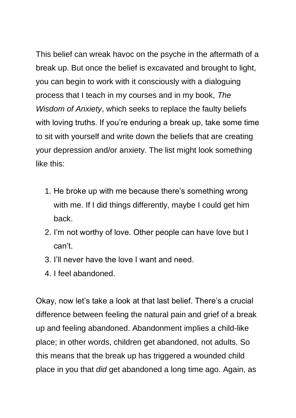This belief can wreak havoc on the psyche in the aftermath of a break up. But once the belief is excavated and brought to light, you can begin to work with it consciously with a dialoguing process that I teach in my courses and in my book, *The Wisdom of Anxiety*, which seeks to replace the faulty beliefs with loving truths. If you're enduring a break up, take some time to sit with yourself and write down the beliefs that are creating your depression and/or anxiety. The list might look something like this:

- 1. He broke up with me because there's something wrong with me. If I did things differently, maybe I could get him back.
- 2. I'm not worthy of love. Other people can have love but I can't.
- 3. I'll never have the love I want and need.
- 4. I feel abandoned.

Okay, now let's take a look at that last belief. There's a crucial difference between feeling the natural pain and grief of a break up and feeling abandoned. Abandonment implies a child-like place; in other words, children get abandoned, not adults. So this means that the break up has triggered a wounded child place in you that *did* get abandoned a long time ago. Again, as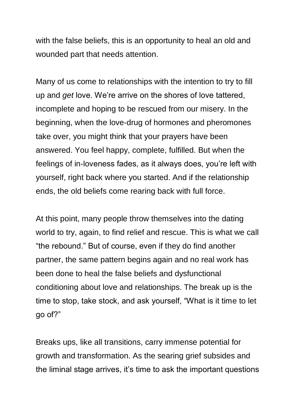with the false beliefs, this is an opportunity to heal an old and wounded part that needs attention.

Many of us come to relationships with the intention to try to fill up and *get* love. We're arrive on the shores of love tattered, incomplete and hoping to be rescued from our misery. In the beginning, when the love-drug of hormones and pheromones take over, you might think that your prayers have been answered. You feel happy, complete, fulfilled. But when the feelings of in-loveness fades, as it always does, you're left with yourself, right back where you started. And if the relationship ends, the old beliefs come rearing back with full force.

At this point, many people throw themselves into the dating world to try, again, to find relief and rescue. This is what we call "the rebound." But of course, even if they do find another partner, the same pattern begins again and no real work has been done to heal the false beliefs and dysfunctional conditioning about love and relationships. The break up is the time to stop, take stock, and ask yourself, "What is it time to let go of?"

Breaks ups, like all transitions, carry immense potential for growth and transformation. As the searing grief subsides and the liminal stage arrives, it's time to ask the important questions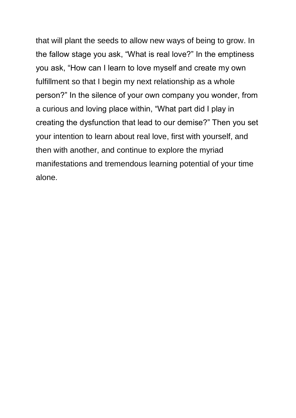that will plant the seeds to allow new ways of being to grow. In the fallow stage you ask, "What is real love?" In the emptiness you ask, "How can I learn to love myself and create my own fulfillment so that I begin my next relationship as a whole person?" In the silence of your own company you wonder, from a curious and loving place within, "What part did I play in creating the dysfunction that lead to our demise?" Then you set your intention to learn about real love, first with yourself, and then with another, and continue to explore the myriad manifestations and tremendous learning potential of your time alone.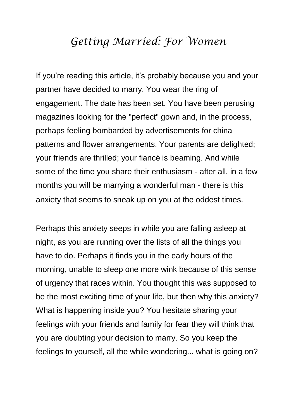### *Getting Married: For Women*

If you're reading this article, it's probably because you and your partner have decided to marry. You wear the ring of engagement. The date has been set. You have been perusing magazines looking for the "perfect" gown and, in the process, perhaps feeling bombarded by advertisements for china patterns and flower arrangements. Your parents are delighted; your friends are thrilled; your fiancé is beaming. And while some of the time you share their enthusiasm - after all, in a few months you will be marrying a wonderful man - there is this anxiety that seems to sneak up on you at the oddest times.

Perhaps this anxiety seeps in while you are falling asleep at night, as you are running over the lists of all the things you have to do. Perhaps it finds you in the early hours of the morning, unable to sleep one more wink because of this sense of urgency that races within. You thought this was supposed to be the most exciting time of your life, but then why this anxiety? What is happening inside you? You hesitate sharing your feelings with your friends and family for fear they will think that you are doubting your decision to marry. So you keep the feelings to yourself, all the while wondering... what is going on?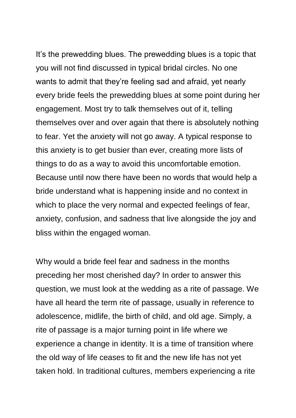It's the prewedding blues. The prewedding blues is a topic that you will not find discussed in typical bridal circles. No one wants to admit that they're feeling sad and afraid, yet nearly every bride feels the prewedding blues at some point during her engagement. Most try to talk themselves out of it, telling themselves over and over again that there is absolutely nothing to fear. Yet the anxiety will not go away. A typical response to this anxiety is to get busier than ever, creating more lists of things to do as a way to avoid this uncomfortable emotion. Because until now there have been no words that would help a bride understand what is happening inside and no context in which to place the very normal and expected feelings of fear, anxiety, confusion, and sadness that live alongside the joy and bliss within the engaged woman.

Why would a bride feel fear and sadness in the months preceding her most cherished day? In order to answer this question, we must look at the wedding as a rite of passage. We have all heard the term rite of passage, usually in reference to adolescence, midlife, the birth of child, and old age. Simply, a rite of passage is a major turning point in life where we experience a change in identity. It is a time of transition where the old way of life ceases to fit and the new life has not yet taken hold. In traditional cultures, members experiencing a rite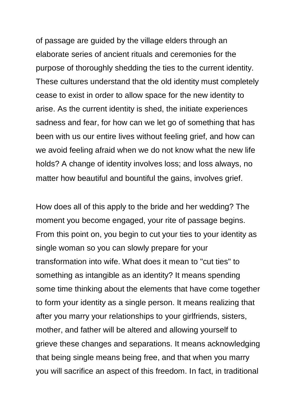of passage are guided by the village elders through an elaborate series of ancient rituals and ceremonies for the purpose of thoroughly shedding the ties to the current identity. These cultures understand that the old identity must completely cease to exist in order to allow space for the new identity to arise. As the current identity is shed, the initiate experiences sadness and fear, for how can we let go of something that has been with us our entire lives without feeling grief, and how can we avoid feeling afraid when we do not know what the new life holds? A change of identity involves loss; and loss always, no matter how beautiful and bountiful the gains, involves grief.

How does all of this apply to the bride and her wedding? The moment you become engaged, your rite of passage begins. From this point on, you begin to cut your ties to your identity as single woman so you can slowly prepare for your transformation into wife. What does it mean to "cut ties" to something as intangible as an identity? It means spending some time thinking about the elements that have come together to form your identity as a single person. It means realizing that after you marry your relationships to your girlfriends, sisters, mother, and father will be altered and allowing yourself to grieve these changes and separations. It means acknowledging that being single means being free, and that when you marry you will sacrifice an aspect of this freedom. In fact, in traditional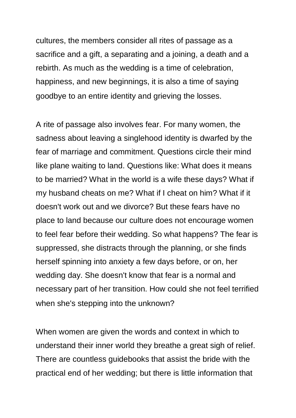cultures, the members consider all rites of passage as a sacrifice and a gift, a separating and a joining, a death and a rebirth. As much as the wedding is a time of celebration, happiness, and new beginnings, it is also a time of saying goodbye to an entire identity and grieving the losses.

A rite of passage also involves fear. For many women, the sadness about leaving a singlehood identity is dwarfed by the fear of marriage and commitment. Questions circle their mind like plane waiting to land. Questions like: What does it means to be married? What in the world is a wife these days? What if my husband cheats on me? What if I cheat on him? What if it doesn't work out and we divorce? But these fears have no place to land because our culture does not encourage women to feel fear before their wedding. So what happens? The fear is suppressed, she distracts through the planning, or she finds herself spinning into anxiety a few days before, or on, her wedding day. She doesn't know that fear is a normal and necessary part of her transition. How could she not feel terrified when she's stepping into the unknown?

When women are given the words and context in which to understand their inner world they breathe a great sigh of relief. There are countless guidebooks that assist the bride with the practical end of her wedding; but there is little information that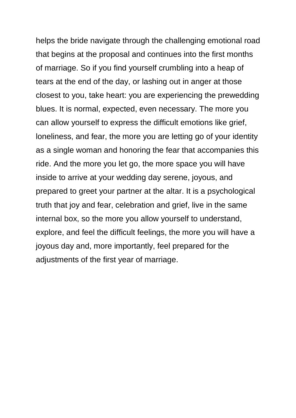helps the bride navigate through the challenging emotional road that begins at the proposal and continues into the first months of marriage. So if you find yourself crumbling into a heap of tears at the end of the day, or lashing out in anger at those closest to you, take heart: you are experiencing the prewedding blues. It is normal, expected, even necessary. The more you can allow yourself to express the difficult emotions like grief, loneliness, and fear, the more you are letting go of your identity as a single woman and honoring the fear that accompanies this ride. And the more you let go, the more space you will have inside to arrive at your wedding day serene, joyous, and prepared to greet your partner at the altar. It is a psychological truth that joy and fear, celebration and grief, live in the same internal box, so the more you allow yourself to understand, explore, and feel the difficult feelings, the more you will have a joyous day and, more importantly, feel prepared for the adjustments of the first year of marriage.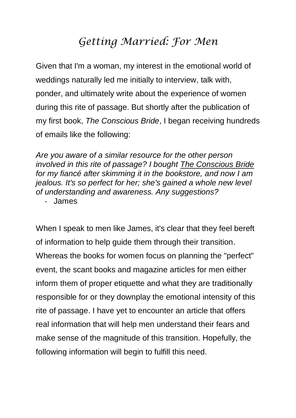# *Getting Married: For Men*

Given that I'm a woman, my interest in the emotional world of weddings naturally led me initially to interview, talk with, ponder, and ultimately write about the experience of women during this rite of passage. But shortly after the publication of my first book, *The Conscious Bride*, I began receiving hundreds of emails like the following:

*Are you aware of a similar resource for the other person involved in this rite of passage? I bought The Conscious Bride for my fiancé after skimming it in the bookstore, and now I am jealous. It's so perfect for her; she's gained a whole new level of understanding and awareness. Any suggestions?*

- James

When I speak to men like James, it's clear that they feel bereft of information to help guide them through their transition. Whereas the books for women focus on planning the "perfect" event, the scant books and magazine articles for men either inform them of proper etiquette and what they are traditionally responsible for or they downplay the emotional intensity of this rite of passage. I have yet to encounter an article that offers real information that will help men understand their fears and make sense of the magnitude of this transition. Hopefully, the following information will begin to fulfill this need.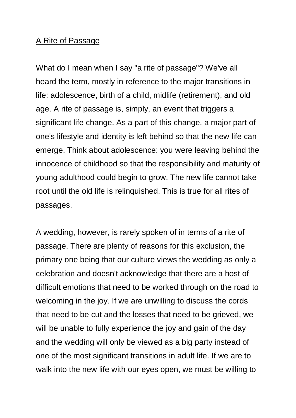#### A Rite of Passage

What do I mean when I say "a rite of passage"? We've all heard the term, mostly in reference to the major transitions in life: adolescence, birth of a child, midlife (retirement), and old age. A rite of passage is, simply, an event that triggers a significant life change. As a part of this change, a major part of one's lifestyle and identity is left behind so that the new life can emerge. Think about adolescence: you were leaving behind the innocence of childhood so that the responsibility and maturity of young adulthood could begin to grow. The new life cannot take root until the old life is relinquished. This is true for all rites of passages.

A wedding, however, is rarely spoken of in terms of a rite of passage. There are plenty of reasons for this exclusion, the primary one being that our culture views the wedding as only a celebration and doesn't acknowledge that there are a host of difficult emotions that need to be worked through on the road to welcoming in the joy. If we are unwilling to discuss the cords that need to be cut and the losses that need to be grieved, we will be unable to fully experience the joy and gain of the day and the wedding will only be viewed as a big party instead of one of the most significant transitions in adult life. If we are to walk into the new life with our eyes open, we must be willing to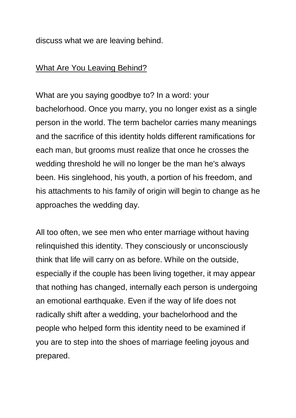discuss what we are leaving behind.

#### What Are You Leaving Behind?

What are you saying goodbye to? In a word: your bachelorhood. Once you marry, you no longer exist as a single person in the world. The term bachelor carries many meanings and the sacrifice of this identity holds different ramifications for each man, but grooms must realize that once he crosses the wedding threshold he will no longer be the man he's always been. His singlehood, his youth, a portion of his freedom, and his attachments to his family of origin will begin to change as he approaches the wedding day.

All too often, we see men who enter marriage without having relinquished this identity. They consciously or unconsciously think that life will carry on as before. While on the outside, especially if the couple has been living together, it may appear that nothing has changed, internally each person is undergoing an emotional earthquake. Even if the way of life does not radically shift after a wedding, your bachelorhood and the people who helped form this identity need to be examined if you are to step into the shoes of marriage feeling joyous and prepared.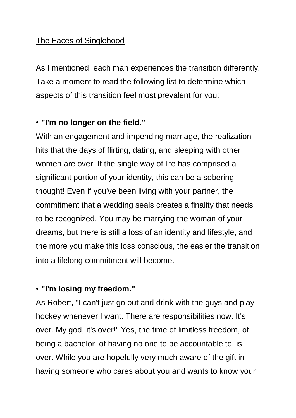### The Faces of Singlehood

As I mentioned, each man experiences the transition differently. Take a moment to read the following list to determine which aspects of this transition feel most prevalent for you:

### • **"I'm no longer on the field."**

With an engagement and impending marriage, the realization hits that the days of flirting, dating, and sleeping with other women are over. If the single way of life has comprised a significant portion of your identity, this can be a sobering thought! Even if you've been living with your partner, the commitment that a wedding seals creates a finality that needs to be recognized. You may be marrying the woman of your dreams, but there is still a loss of an identity and lifestyle, and the more you make this loss conscious, the easier the transition into a lifelong commitment will become.

### • **"I'm losing my freedom."**

As Robert, "I can't just go out and drink with the guys and play hockey whenever I want. There are responsibilities now. It's over. My god, it's over!" Yes, the time of limitless freedom, of being a bachelor, of having no one to be accountable to, is over. While you are hopefully very much aware of the gift in having someone who cares about you and wants to know your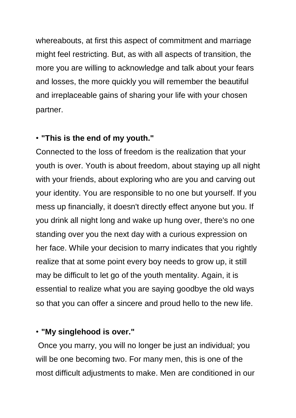whereabouts, at first this aspect of commitment and marriage might feel restricting. But, as with all aspects of transition, the more you are willing to acknowledge and talk about your fears and losses, the more quickly you will remember the beautiful and irreplaceable gains of sharing your life with your chosen partner.

#### • **"This is the end of my youth."**

Connected to the loss of freedom is the realization that your youth is over. Youth is about freedom, about staying up all night with your friends, about exploring who are you and carving out your identity. You are responsible to no one but yourself. If you mess up financially, it doesn't directly effect anyone but you. If you drink all night long and wake up hung over, there's no one standing over you the next day with a curious expression on her face. While your decision to marry indicates that you rightly realize that at some point every boy needs to grow up, it still may be difficult to let go of the youth mentality. Again, it is essential to realize what you are saying goodbye the old ways so that you can offer a sincere and proud hello to the new life.

#### • **"My singlehood is over."**

Once you marry, you will no longer be just an individual; you will be one becoming two. For many men, this is one of the most difficult adjustments to make. Men are conditioned in our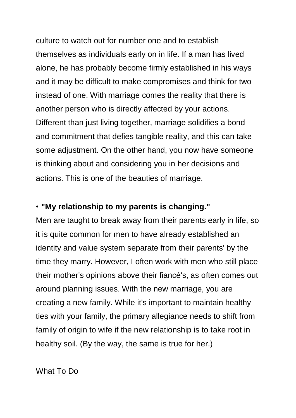culture to watch out for number one and to establish themselves as individuals early on in life. If a man has lived alone, he has probably become firmly established in his ways and it may be difficult to make compromises and think for two instead of one. With marriage comes the reality that there is another person who is directly affected by your actions. Different than just living together, marriage solidifies a bond and commitment that defies tangible reality, and this can take some adjustment. On the other hand, you now have someone is thinking about and considering you in her decisions and actions. This is one of the beauties of marriage.

#### • **"My relationship to my parents is changing."**

Men are taught to break away from their parents early in life, so it is quite common for men to have already established an identity and value system separate from their parents' by the time they marry. However, I often work with men who still place their mother's opinions above their fiancé's, as often comes out around planning issues. With the new marriage, you are creating a new family. While it's important to maintain healthy ties with your family, the primary allegiance needs to shift from family of origin to wife if the new relationship is to take root in healthy soil. (By the way, the same is true for her.)

#### What To Do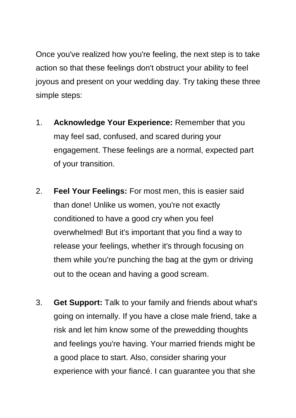Once you've realized how you're feeling, the next step is to take action so that these feelings don't obstruct your ability to feel joyous and present on your wedding day. Try taking these three simple steps:

- 1. **Acknowledge Your Experience:** Remember that you may feel sad, confused, and scared during your engagement. These feelings are a normal, expected part of your transition.
- 2. **Feel Your Feelings:** For most men, this is easier said than done! Unlike us women, you're not exactly conditioned to have a good cry when you feel overwhelmed! But it's important that you find a way to release your feelings, whether it's through focusing on them while you're punching the bag at the gym or driving out to the ocean and having a good scream.
- 3. **Get Support:** Talk to your family and friends about what's going on internally. If you have a close male friend, take a risk and let him know some of the prewedding thoughts and feelings you're having. Your married friends might be a good place to start. Also, consider sharing your experience with your fiancé. I can guarantee you that she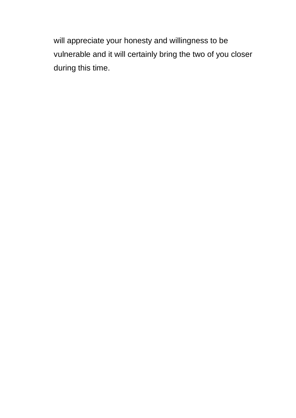will appreciate your honesty and willingness to be vulnerable and it will certainly bring the two of you closer during this time.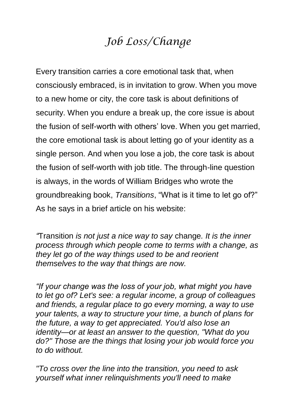# *Job Loss/Change*

Every transition carries a core emotional task that, when consciously embraced, is in invitation to grow. When you move to a new home or city, the core task is about definitions of security. When you endure a break up, the core issue is about the fusion of self-worth with others' love. When you get married, the core emotional task is about letting go of your identity as a single person. And when you lose a job, the core task is about the fusion of self-worth with job title. The through-line question is always, in the words of William Bridges who wrote the groundbreaking book, *Transitions*, "What is it time to let go of?" As he says in a brief article on his website:

*"*Transition *is not just a nice way to say* change*. It is the inner process through which people come to terms with a change, as they let go of the way things used to be and reorient themselves to the way that things are now.* 

*"If your change was the loss of your job, what might you have to let go of? Let's see: a regular income, a group of colleagues and friends, a regular place to go every morning, a way to use your talents, a way to structure your time, a bunch of plans for the future, a way to get appreciated. You'd also lose an identity—or at least an answer to the question, "What do you do?" Those are the things that losing your job would force you to do without.*

*"To cross over the line into the transition, you need to ask yourself what inner relinquishments you'll need to make*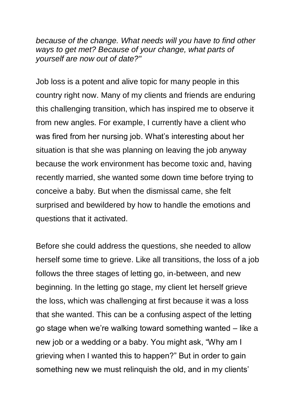*because of the change. What needs will you have to find other ways to get met? Because of your change, what parts of yourself are now out of date?"*

Job loss is a potent and alive topic for many people in this country right now. Many of my clients and friends are enduring this challenging transition, which has inspired me to observe it from new angles. For example, I currently have a client who was fired from her nursing job. What's interesting about her situation is that she was planning on leaving the job anyway because the work environment has become toxic and, having recently married, she wanted some down time before trying to conceive a baby. But when the dismissal came, she felt surprised and bewildered by how to handle the emotions and questions that it activated.

Before she could address the questions, she needed to allow herself some time to grieve. Like all transitions, the loss of a job follows the three stages of letting go, in-between, and new beginning. In the letting go stage, my client let herself grieve the loss, which was challenging at first because it was a loss that she wanted. This can be a confusing aspect of the letting go stage when we're walking toward something wanted – like a new job or a wedding or a baby. You might ask, "Why am I grieving when I wanted this to happen?" But in order to gain something new we must relinquish the old, and in my clients'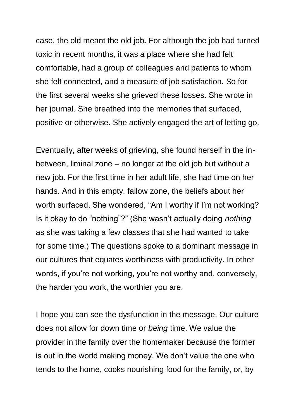case, the old meant the old job. For although the job had turned toxic in recent months, it was a place where she had felt comfortable, had a group of colleagues and patients to whom she felt connected, and a measure of job satisfaction. So for the first several weeks she grieved these losses. She wrote in her journal. She breathed into the memories that surfaced, positive or otherwise. She actively engaged the art of letting go.

Eventually, after weeks of grieving, she found herself in the inbetween, liminal zone – no longer at the old job but without a new job. For the first time in her adult life, she had time on her hands. And in this empty, fallow zone, the beliefs about her worth surfaced. She wondered, "Am I worthy if I'm not working? Is it okay to do "nothing"?" (She wasn't actually doing *nothing* as she was taking a few classes that she had wanted to take for some time.) The questions spoke to a dominant message in our cultures that equates worthiness with productivity. In other words, if you're not working, you're not worthy and, conversely, the harder you work, the worthier you are.

I hope you can see the dysfunction in the message. Our culture does not allow for down time or *being* time. We value the provider in the family over the homemaker because the former is out in the world making money. We don't value the one who tends to the home, cooks nourishing food for the family, or, by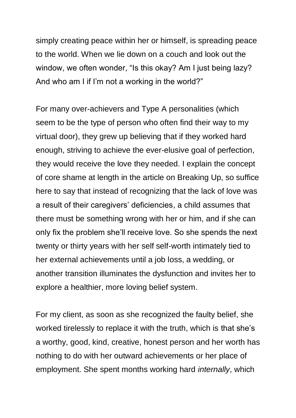simply creating peace within her or himself, is spreading peace to the world. When we lie down on a couch and look out the window, we often wonder, "Is this okay? Am I just being lazy? And who am I if I'm not a working in the world?"

For many over-achievers and Type A personalities (which seem to be the type of person who often find their way to my virtual door), they grew up believing that if they worked hard enough, striving to achieve the ever-elusive goal of perfection, they would receive the love they needed. I explain the concept of core shame at length in the article on Breaking Up, so suffice here to say that instead of recognizing that the lack of love was a result of their caregivers' deficiencies, a child assumes that there must be something wrong with her or him, and if she can only fix the problem she'll receive love. So she spends the next twenty or thirty years with her self self-worth intimately tied to her external achievements until a job loss, a wedding, or another transition illuminates the dysfunction and invites her to explore a healthier, more loving belief system.

For my client, as soon as she recognized the faulty belief, she worked tirelessly to replace it with the truth, which is that she's a worthy, good, kind, creative, honest person and her worth has nothing to do with her outward achievements or her place of employment. She spent months working hard *internally*, which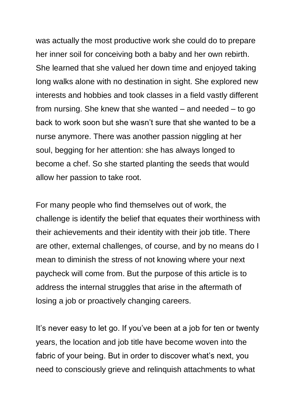was actually the most productive work she could do to prepare her inner soil for conceiving both a baby and her own rebirth. She learned that she valued her down time and enjoyed taking long walks alone with no destination in sight. She explored new interests and hobbies and took classes in a field vastly different from nursing. She knew that she wanted – and needed – to go back to work soon but she wasn't sure that she wanted to be a nurse anymore. There was another passion niggling at her soul, begging for her attention: she has always longed to become a chef. So she started planting the seeds that would allow her passion to take root.

For many people who find themselves out of work, the challenge is identify the belief that equates their worthiness with their achievements and their identity with their job title. There are other, external challenges, of course, and by no means do I mean to diminish the stress of not knowing where your next paycheck will come from. But the purpose of this article is to address the internal struggles that arise in the aftermath of losing a job or proactively changing careers.

It's never easy to let go. If you've been at a job for ten or twenty years, the location and job title have become woven into the fabric of your being. But in order to discover what's next, you need to consciously grieve and relinquish attachments to what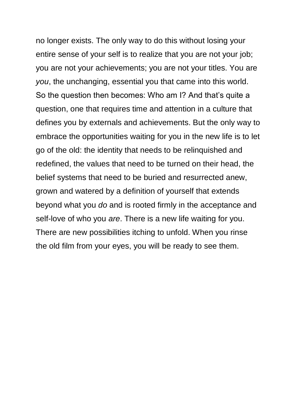no longer exists. The only way to do this without losing your entire sense of your self is to realize that you are not your job; you are not your achievements; you are not your titles. You are *you*, the unchanging, essential you that came into this world. So the question then becomes: Who am I? And that's quite a question, one that requires time and attention in a culture that defines you by externals and achievements. But the only way to embrace the opportunities waiting for you in the new life is to let go of the old: the identity that needs to be relinquished and redefined, the values that need to be turned on their head, the belief systems that need to be buried and resurrected anew, grown and watered by a definition of yourself that extends beyond what you *do* and is rooted firmly in the acceptance and self-love of who you *are*. There is a new life waiting for you. There are new possibilities itching to unfold. When you rinse the old film from your eyes, you will be ready to see them.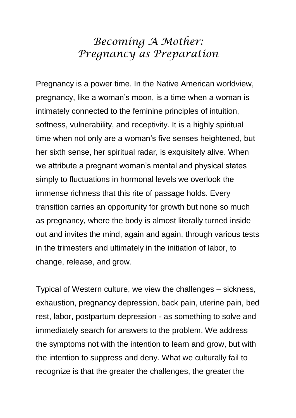## *Becoming A Mother: Pregnancy as Preparation*

Pregnancy is a power time. In the Native American worldview, pregnancy, like a woman's moon, is a time when a woman is intimately connected to the feminine principles of intuition, softness, vulnerability, and receptivity. It is a highly spiritual time when not only are a woman's five senses heightened, but her sixth sense, her spiritual radar, is exquisitely alive. When we attribute a pregnant woman's mental and physical states simply to fluctuations in hormonal levels we overlook the immense richness that this rite of passage holds. Every transition carries an opportunity for growth but none so much as pregnancy, where the body is almost literally turned inside out and invites the mind, again and again, through various tests in the trimesters and ultimately in the initiation of labor, to change, release, and grow.

Typical of Western culture, we view the challenges – sickness, exhaustion, pregnancy depression, back pain, uterine pain, bed rest, labor, postpartum depression - as something to solve and immediately search for answers to the problem. We address the symptoms not with the intention to learn and grow, but with the intention to suppress and deny. What we culturally fail to recognize is that the greater the challenges, the greater the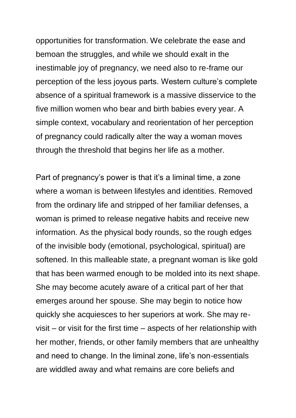opportunities for transformation. We celebrate the ease and bemoan the struggles, and while we should exalt in the inestimable joy of pregnancy, we need also to re-frame our perception of the less joyous parts. Western culture's complete absence of a spiritual framework is a massive disservice to the five million women who bear and birth babies every year. A simple context, vocabulary and reorientation of her perception of pregnancy could radically alter the way a woman moves through the threshold that begins her life as a mother.

Part of pregnancy's power is that it's a liminal time, a zone where a woman is between lifestyles and identities. Removed from the ordinary life and stripped of her familiar defenses, a woman is primed to release negative habits and receive new information. As the physical body rounds, so the rough edges of the invisible body (emotional, psychological, spiritual) are softened. In this malleable state, a pregnant woman is like gold that has been warmed enough to be molded into its next shape. She may become acutely aware of a critical part of her that emerges around her spouse. She may begin to notice how quickly she acquiesces to her superiors at work. She may revisit – or visit for the first time – aspects of her relationship with her mother, friends, or other family members that are unhealthy and need to change. In the liminal zone, life's non-essentials are widdled away and what remains are core beliefs and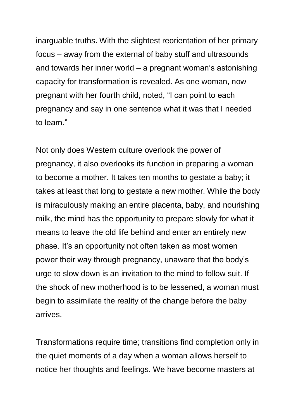inarguable truths. With the slightest reorientation of her primary focus – away from the external of baby stuff and ultrasounds and towards her inner world – a pregnant woman's astonishing capacity for transformation is revealed. As one woman, now pregnant with her fourth child, noted, "I can point to each pregnancy and say in one sentence what it was that I needed to learn."

Not only does Western culture overlook the power of pregnancy, it also overlooks its function in preparing a woman to become a mother. It takes ten months to gestate a baby; it takes at least that long to gestate a new mother. While the body is miraculously making an entire placenta, baby, and nourishing milk, the mind has the opportunity to prepare slowly for what it means to leave the old life behind and enter an entirely new phase. It's an opportunity not often taken as most women power their way through pregnancy, unaware that the body's urge to slow down is an invitation to the mind to follow suit. If the shock of new motherhood is to be lessened, a woman must begin to assimilate the reality of the change before the baby arrives.

Transformations require time; transitions find completion only in the quiet moments of a day when a woman allows herself to notice her thoughts and feelings. We have become masters at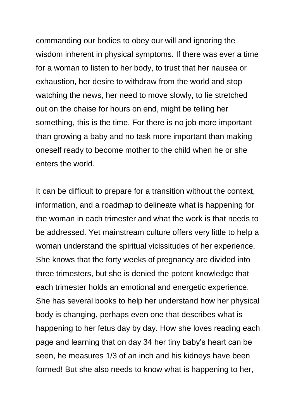commanding our bodies to obey our will and ignoring the wisdom inherent in physical symptoms. If there was ever a time for a woman to listen to her body, to trust that her nausea or exhaustion, her desire to withdraw from the world and stop watching the news, her need to move slowly, to lie stretched out on the chaise for hours on end, might be telling her something, this is the time. For there is no job more important than growing a baby and no task more important than making oneself ready to become mother to the child when he or she enters the world.

It can be difficult to prepare for a transition without the context, information, and a roadmap to delineate what is happening for the woman in each trimester and what the work is that needs to be addressed. Yet mainstream culture offers very little to help a woman understand the spiritual vicissitudes of her experience. She knows that the forty weeks of pregnancy are divided into three trimesters, but she is denied the potent knowledge that each trimester holds an emotional and energetic experience. She has several books to help her understand how her physical body is changing, perhaps even one that describes what is happening to her fetus day by day. How she loves reading each page and learning that on day 34 her tiny baby's heart can be seen, he measures 1/3 of an inch and his kidneys have been formed! But she also needs to know what is happening to her,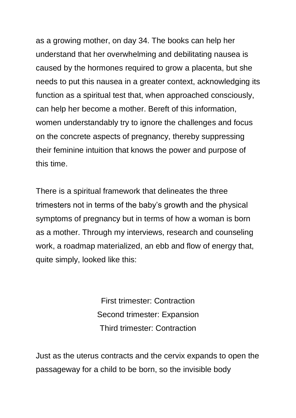as a growing mother, on day 34. The books can help her understand that her overwhelming and debilitating nausea is caused by the hormones required to grow a placenta, but she needs to put this nausea in a greater context, acknowledging its function as a spiritual test that, when approached consciously, can help her become a mother. Bereft of this information, women understandably try to ignore the challenges and focus on the concrete aspects of pregnancy, thereby suppressing their feminine intuition that knows the power and purpose of this time.

There is a spiritual framework that delineates the three trimesters not in terms of the baby's growth and the physical symptoms of pregnancy but in terms of how a woman is born as a mother. Through my interviews, research and counseling work, a roadmap materialized, an ebb and flow of energy that, quite simply, looked like this:

> First trimester: Contraction Second trimester: Expansion Third trimester: Contraction

Just as the uterus contracts and the cervix expands to open the passageway for a child to be born, so the invisible body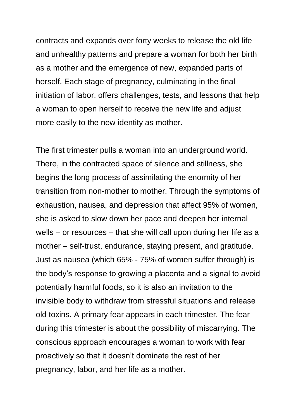contracts and expands over forty weeks to release the old life and unhealthy patterns and prepare a woman for both her birth as a mother and the emergence of new, expanded parts of herself. Each stage of pregnancy, culminating in the final initiation of labor, offers challenges, tests, and lessons that help a woman to open herself to receive the new life and adjust more easily to the new identity as mother.

The first trimester pulls a woman into an underground world. There, in the contracted space of silence and stillness, she begins the long process of assimilating the enormity of her transition from non-mother to mother. Through the symptoms of exhaustion, nausea, and depression that affect 95% of women, she is asked to slow down her pace and deepen her internal wells – or resources – that she will call upon during her life as a mother – self-trust, endurance, staying present, and gratitude. Just as nausea (which 65% - 75% of women suffer through) is the body's response to growing a placenta and a signal to avoid potentially harmful foods, so it is also an invitation to the invisible body to withdraw from stressful situations and release old toxins. A primary fear appears in each trimester. The fear during this trimester is about the possibility of miscarrying. The conscious approach encourages a woman to work with fear proactively so that it doesn't dominate the rest of her pregnancy, labor, and her life as a mother.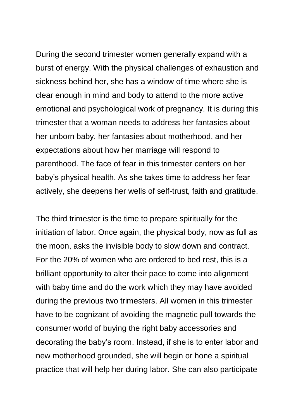During the second trimester women generally expand with a burst of energy. With the physical challenges of exhaustion and sickness behind her, she has a window of time where she is clear enough in mind and body to attend to the more active emotional and psychological work of pregnancy. It is during this trimester that a woman needs to address her fantasies about her unborn baby, her fantasies about motherhood, and her expectations about how her marriage will respond to parenthood. The face of fear in this trimester centers on her baby's physical health. As she takes time to address her fear actively, she deepens her wells of self-trust, faith and gratitude.

The third trimester is the time to prepare spiritually for the initiation of labor. Once again, the physical body, now as full as the moon, asks the invisible body to slow down and contract. For the 20% of women who are ordered to bed rest, this is a brilliant opportunity to alter their pace to come into alignment with baby time and do the work which they may have avoided during the previous two trimesters. All women in this trimester have to be cognizant of avoiding the magnetic pull towards the consumer world of buying the right baby accessories and decorating the baby's room. Instead, if she is to enter labor and new motherhood grounded, she will begin or hone a spiritual practice that will help her during labor. She can also participate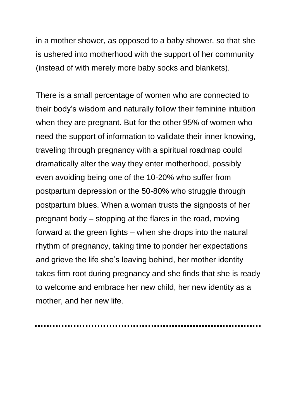in a mother shower, as opposed to a baby shower, so that she is ushered into motherhood with the support of her community (instead of with merely more baby socks and blankets).

There is a small percentage of women who are connected to their body's wisdom and naturally follow their feminine intuition when they are pregnant. But for the other 95% of women who need the support of information to validate their inner knowing, traveling through pregnancy with a spiritual roadmap could dramatically alter the way they enter motherhood, possibly even avoiding being one of the 10-20% who suffer from postpartum depression or the 50-80% who struggle through postpartum blues. When a woman trusts the signposts of her pregnant body – stopping at the flares in the road, moving forward at the green lights – when she drops into the natural rhythm of pregnancy, taking time to ponder her expectations and grieve the life she's leaving behind, her mother identity takes firm root during pregnancy and she finds that she is ready to welcome and embrace her new child, her new identity as a mother, and her new life.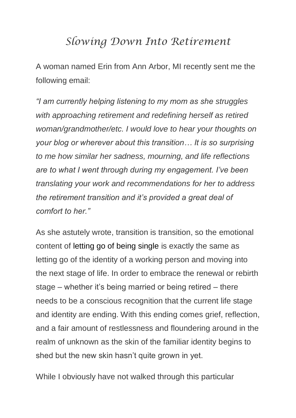## *Slowing Down Into Retirement*

A woman named Erin from Ann Arbor, MI recently sent me the following email:

*"I am currently helping listening to my mom as she struggles with approaching retirement and redefining herself as retired woman/grandmother/etc. I would love to hear your thoughts on your blog or wherever about this transition… It is so surprising to me how similar her sadness, mourning, and life reflections are to what I went through during my engagement. I've been translating your work and recommendations for her to address the retirement transition and it's provided a great deal of comfort to her."*

As she astutely wrote, transition is transition, so the emotional content of letting go of being single is exactly the same as letting go of the identity of a working person and moving into the next stage of life. In order to embrace the renewal or rebirth stage – whether it's being married or being retired – there needs to be a conscious recognition that the current life stage and identity are ending. With this ending comes grief, reflection, and a fair amount of restlessness and floundering around in the realm of unknown as the skin of the familiar identity begins to shed but the new skin hasn't quite grown in yet.

While I obviously have not walked through this particular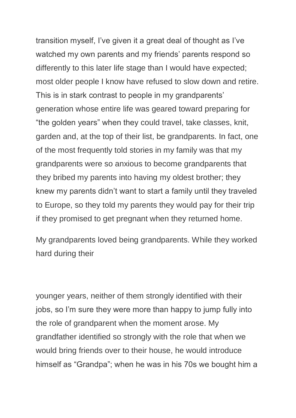transition myself, I've given it a great deal of thought as I've watched my own parents and my friends' parents respond so differently to this later life stage than I would have expected; most older people I know have refused to slow down and retire. This is in stark contrast to people in my grandparents' generation whose entire life was geared toward preparing for "the golden years" when they could travel, take classes, knit, garden and, at the top of their list, be grandparents. In fact, one of the most frequently told stories in my family was that my grandparents were so anxious to become grandparents that they bribed my parents into having my oldest brother; they knew my parents didn't want to start a family until they traveled to Europe, so they told my parents they would pay for their trip if they promised to get pregnant when they returned home.

My grandparents loved being grandparents. While they worked hard during their

younger years, neither of them strongly identified with their jobs, so I'm sure they were more than happy to jump fully into the role of grandparent when the moment arose. My grandfather identified so strongly with the role that when we would bring friends over to their house, he would introduce himself as "Grandpa"; when he was in his 70s we bought him a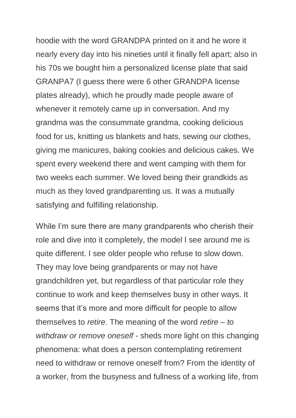hoodie with the word GRANDPA printed on it and he wore it nearly every day into his nineties until it finally fell apart; also in his 70s we bought him a personalized license plate that said GRANPA7 (I guess there were 6 other GRANDPA license plates already), which he proudly made people aware of whenever it remotely came up in conversation. And my grandma was the consummate grandma, cooking delicious food for us, knitting us blankets and hats, sewing our clothes, giving me manicures, baking cookies and delicious cakes. We spent every weekend there and went camping with them for two weeks each summer. We loved being their grandkids as much as they loved grandparenting us. It was a mutually satisfying and fulfilling relationship.

While I'm sure there are many grandparents who cherish their role and dive into it completely, the model I see around me is quite different. I see older people who refuse to slow down. They may love being grandparents or may not have grandchildren yet, but regardless of that particular role they continue to work and keep themselves busy in other ways. It seems that it's more and more difficult for people to allow themselves to *retire.* The meaning of the word *retire – to withdraw or remove oneself -* sheds more light on this changing phenomena: what does a person contemplating retirement need to withdraw or remove oneself from? From the identity of a worker, from the busyness and fullness of a working life, from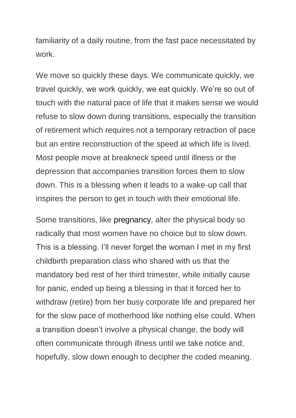familiarity of a daily routine, from the fast pace necessitated by work.

We move so quickly these days. We communicate quickly, we travel quickly, we work quickly, we eat quickly. We're so out of touch with the natural pace of life that it makes sense we would refuse to slow down during transitions, especially the transition of retirement which requires not a temporary retraction of pace but an entire reconstruction of the speed at which life is lived. Most people move at breakneck speed until illness or the depression that accompanies transition forces them to slow down. This is a blessing when it leads to a wake-up call that inspires the person to get in touch with their emotional life.

Some transitions, like pregnancy, alter the physical body so radically that most women have no choice but to slow down. This is a blessing. I'll never forget the woman I met in my first childbirth preparation class who shared with us that the mandatory bed rest of her third trimester, while initially cause for panic, ended up being a blessing in that it forced her to withdraw (retire) from her busy corporate life and prepared her for the slow pace of motherhood like nothing else could. When a transition doesn't involve a physical change, the body will often communicate through illness until we take notice and, hopefully, slow down enough to decipher the coded meaning.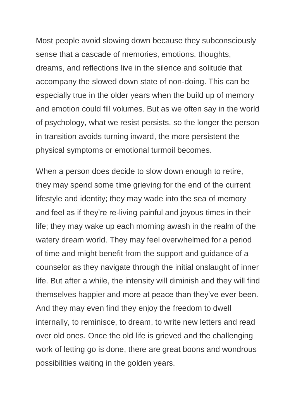Most people avoid slowing down because they subconsciously sense that a cascade of memories, emotions, thoughts, dreams, and reflections live in the silence and solitude that accompany the slowed down state of non-doing. This can be especially true in the older years when the build up of memory and emotion could fill volumes. But as we often say in the world of psychology, what we resist persists, so the longer the person in transition avoids turning inward, the more persistent the physical symptoms or emotional turmoil becomes.

When a person does decide to slow down enough to retire, they may spend some time grieving for the end of the current lifestyle and identity; they may wade into the sea of memory and feel as if they're re-living painful and joyous times in their life; they may wake up each morning awash in the realm of the watery dream world. They may feel overwhelmed for a period of time and might benefit from the support and guidance of a counselor as they navigate through the initial onslaught of inner life. But after a while, the intensity will diminish and they will find themselves happier and more at peace than they've ever been. And they may even find they enjoy the freedom to dwell internally, to reminisce, to dream, to write new letters and read over old ones. Once the old life is grieved and the challenging work of letting go is done, there are great boons and wondrous possibilities waiting in the golden years.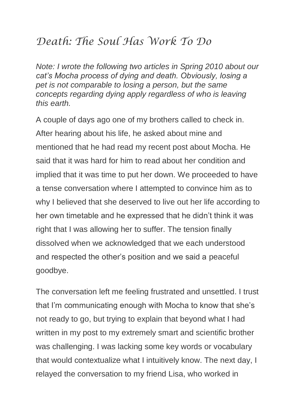# *Death: The Soul Has Work To Do*

*Note: I wrote the following two articles in Spring 2010 about our cat's Mocha process of dying and death. Obviously, losing a pet is not comparable to losing a person, but the same concepts regarding dying apply regardless of who is leaving this earth.*

A couple of days ago one of my brothers called to check in. After hearing about his life, he asked about mine and mentioned that he had read my recent post about Mocha. He said that it was hard for him to read about her condition and implied that it was time to put her down. We proceeded to have a tense conversation where I attempted to convince him as to why I believed that she deserved to live out her life according to her own timetable and he expressed that he didn't think it was right that I was allowing her to suffer. The tension finally dissolved when we acknowledged that we each understood and respected the other's position and we said a peaceful goodbye.

The conversation left me feeling frustrated and unsettled. I trust that I'm communicating enough with Mocha to know that she's not ready to go, but trying to explain that beyond what I had written in my post to my extremely smart and scientific brother was challenging. I was lacking some key words or vocabulary that would contextualize what I intuitively know. The next day, I relayed the conversation to my friend Lisa, who worked in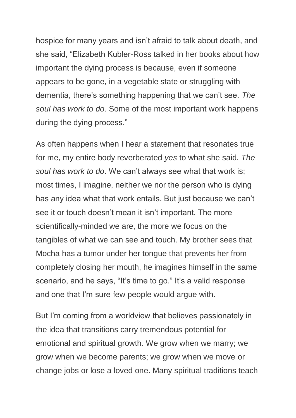hospice for many years and isn't afraid to talk about death, and she said, "Elizabeth Kubler-Ross talked in her books about how important the dying process is because, even if someone appears to be gone, in a vegetable state or struggling with dementia, there's something happening that we can't see. *The soul has work to do*. Some of the most important work happens during the dying process."

As often happens when I hear a statement that resonates true for me, my entire body reverberated *yes* to what she said. *The soul has work to do*. We can't always see what that work is; most times, I imagine, neither we nor the person who is dying has any idea what that work entails. But just because we can't see it or touch doesn't mean it isn't important. The more scientifically-minded we are, the more we focus on the tangibles of what we can see and touch. My brother sees that Mocha has a tumor under her tongue that prevents her from completely closing her mouth, he imagines himself in the same scenario, and he says, "It's time to go." It's a valid response and one that I'm sure few people would argue with.

But I'm coming from a worldview that believes passionately in the idea that transitions carry tremendous potential for emotional and spiritual growth. We grow when we marry; we grow when we become parents; we grow when we move or change jobs or lose a loved one. Many spiritual traditions teach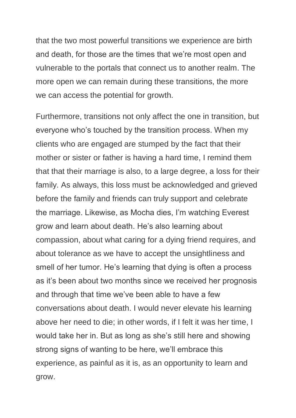that the two most powerful transitions we experience are birth and death, for those are the times that we're most open and vulnerable to the portals that connect us to another realm. The more open we can remain during these transitions, the more we can access the potential for growth.

Furthermore, transitions not only affect the one in transition, but everyone who's touched by the transition process. When my clients who are engaged are stumped by the fact that their mother or sister or father is having a hard time, I remind them that that their marriage is also, to a large degree, a loss for their family. As always, this loss must be acknowledged and grieved before the family and friends can truly support and celebrate the marriage. Likewise, as Mocha dies, I'm watching Everest grow and learn about death. He's also learning about compassion, about what caring for a dying friend requires, and about tolerance as we have to accept the unsightliness and smell of her tumor. He's learning that dying is often a process as it's been about two months since we received her prognosis and through that time we've been able to have a few conversations about death. I would never elevate his learning above her need to die; in other words, if I felt it was her time, I would take her in. But as long as she's still here and showing strong signs of wanting to be here, we'll embrace this experience, as painful as it is, as an opportunity to learn and grow.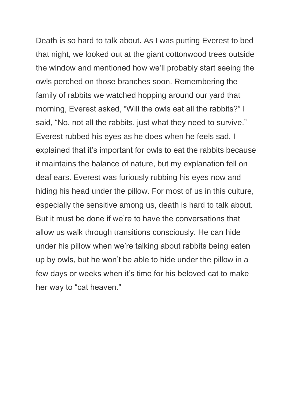Death is so hard to talk about. As I was putting Everest to bed that night, we looked out at the giant cottonwood trees outside the window and mentioned how we'll probably start seeing the owls perched on those branches soon. Remembering the family of rabbits we watched hopping around our yard that morning, Everest asked, "Will the owls eat all the rabbits?" I said, "No, not all the rabbits, just what they need to survive." Everest rubbed his eyes as he does when he feels sad. I explained that it's important for owls to eat the rabbits because it maintains the balance of nature, but my explanation fell on deaf ears. Everest was furiously rubbing his eyes now and hiding his head under the pillow. For most of us in this culture, especially the sensitive among us, death is hard to talk about. But it must be done if we're to have the conversations that allow us walk through transitions consciously. He can hide under his pillow when we're talking about rabbits being eaten up by owls, but he won't be able to hide under the pillow in a few days or weeks when it's time for his beloved cat to make her way to "cat heaven."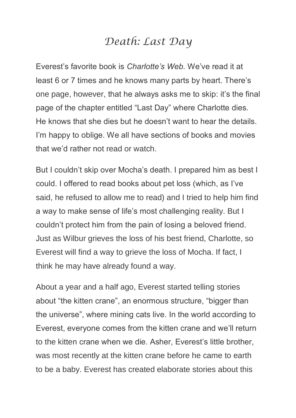## *Death: Last Day*

Everest's favorite book is *Charlotte's Web.* We've read it at least 6 or 7 times and he knows many parts by heart. There's one page, however, that he always asks me to skip: it's the final page of the chapter entitled "Last Day" where Charlotte dies. He knows that she dies but he doesn't want to hear the details. I'm happy to oblige. We all have sections of books and movies that we'd rather not read or watch.

But I couldn't skip over Mocha's death. I prepared him as best I could. I offered to read books about pet loss (which, as I've said, he refused to allow me to read) and I tried to help him find a way to make sense of life's most challenging reality. But I couldn't protect him from the pain of losing a beloved friend. Just as Wilbur grieves the loss of his best friend, Charlotte, so Everest will find a way to grieve the loss of Mocha. If fact, I think he may have already found a way.

About a year and a half ago, Everest started telling stories about "the kitten crane", an enormous structure, "bigger than the universe", where mining cats live. In the world according to Everest, everyone comes from the kitten crane and we'll return to the kitten crane when we die. Asher, Everest's little brother, was most recently at the kitten crane before he came to earth to be a baby. Everest has created elaborate stories about this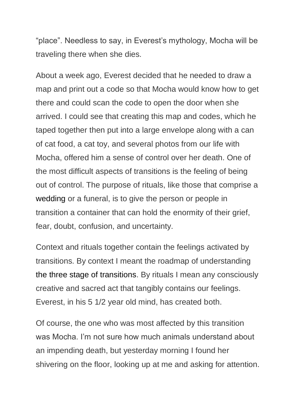"place". Needless to say, in Everest's mythology, Mocha will be traveling there when she dies.

About a week ago, Everest decided that he needed to draw a map and print out a code so that Mocha would know how to get there and could scan the code to open the door when she arrived. I could see that creating this map and codes, which he taped together then put into a large envelope along with a can of cat food, a cat toy, and several photos from our life with Mocha, offered him a sense of control over her death. One of the most difficult aspects of transitions is the feeling of being out of control. The purpose of rituals, like those that comprise a wedding or a funeral, is to give the person or people in transition a container that can hold the enormity of their grief, fear, doubt, confusion, and uncertainty.

Context and rituals together contain the feelings activated by transitions. By context I meant the roadmap of understanding the three stage of transitions. By rituals I mean any consciously creative and sacred act that tangibly contains our feelings. Everest, in his 5 1/2 year old mind, has created both.

Of course, the one who was most affected by this transition was Mocha. I'm not sure how much animals understand about an impending death, but yesterday morning I found her shivering on the floor, looking up at me and asking for attention.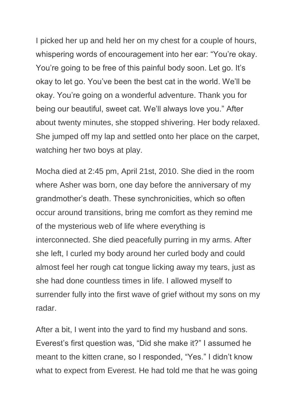I picked her up and held her on my chest for a couple of hours, whispering words of encouragement into her ear: "You're okay. You're going to be free of this painful body soon. Let go. It's okay to let go. You've been the best cat in the world. We'll be okay. You're going on a wonderful adventure. Thank you for being our beautiful, sweet cat. We'll always love you." After about twenty minutes, she stopped shivering. Her body relaxed. She jumped off my lap and settled onto her place on the carpet, watching her two boys at play.

Mocha died at 2:45 pm, April 21st, 2010. She died in the room where Asher was born, one day before the anniversary of my grandmother's death. These synchronicities, which so often occur around transitions, bring me comfort as they remind me of the mysterious web of life where everything is interconnected. She died peacefully purring in my arms. After she left, I curled my body around her curled body and could almost feel her rough cat tongue licking away my tears, just as she had done countless times in life. I allowed myself to surrender fully into the first wave of grief without my sons on my radar.

After a bit, I went into the yard to find my husband and sons. Everest's first question was, "Did she make it?" I assumed he meant to the kitten crane, so I responded, "Yes." I didn't know what to expect from Everest. He had told me that he was going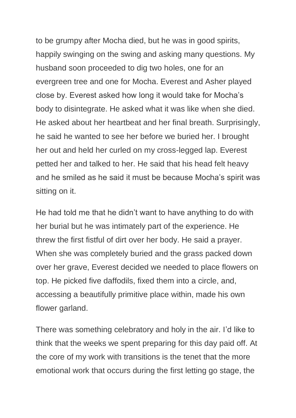to be grumpy after Mocha died, but he was in good spirits, happily swinging on the swing and asking many questions. My husband soon proceeded to dig two holes, one for an evergreen tree and one for Mocha. Everest and Asher played close by. Everest asked how long it would take for Mocha's body to disintegrate. He asked what it was like when she died. He asked about her heartbeat and her final breath. Surprisingly, he said he wanted to see her before we buried her. I brought her out and held her curled on my cross-legged lap. Everest petted her and talked to her. He said that his head felt heavy and he smiled as he said it must be because Mocha's spirit was sitting on it.

He had told me that he didn't want to have anything to do with her burial but he was intimately part of the experience. He threw the first fistful of dirt over her body. He said a prayer. When she was completely buried and the grass packed down over her grave, Everest decided we needed to place flowers on top. He picked five daffodils, fixed them into a circle, and, accessing a beautifully primitive place within, made his own flower garland.

There was something celebratory and holy in the air. I'd like to think that the weeks we spent preparing for this day paid off. At the core of my work with transitions is the tenet that the more emotional work that occurs during the first letting go stage, the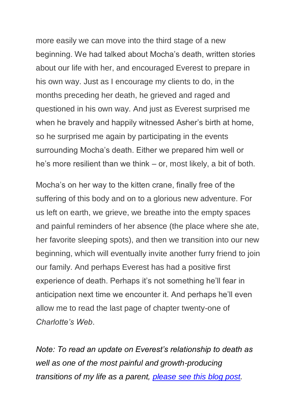more easily we can move into the third stage of a new beginning. We had talked about Mocha's death, written stories about our life with her, and encouraged Everest to prepare in his own way. Just as I encourage my clients to do, in the months preceding her death, he grieved and raged and questioned in his own way. And just as Everest surprised me when he bravely and happily witnessed Asher's birth at home, so he surprised me again by participating in the events surrounding Mocha's death. Either we prepared him well or he's more resilient than we think – or, most likely, a bit of both.

Mocha's on her way to the kitten crane, finally free of the suffering of this body and on to a glorious new adventure. For us left on earth, we grieve, we breathe into the empty spaces and painful reminders of her absence (the place where she ate, her favorite sleeping spots), and then we transition into our new beginning, which will eventually invite another furry friend to join our family. And perhaps Everest has had a positive first experience of death. Perhaps it's not something he'll fear in anticipation next time we encounter it. And perhaps he'll even allow me to read the last page of chapter twenty-one of *Charlotte's Web*.

*Note: To read an update on Everest's relationship to death as well as one of the most painful and growth-producing transitions of my life as a parent, please [see this blog post.](https://conscious-transitions.com/how-to-let-go-a-dark-night-page-from-my-journal/)*